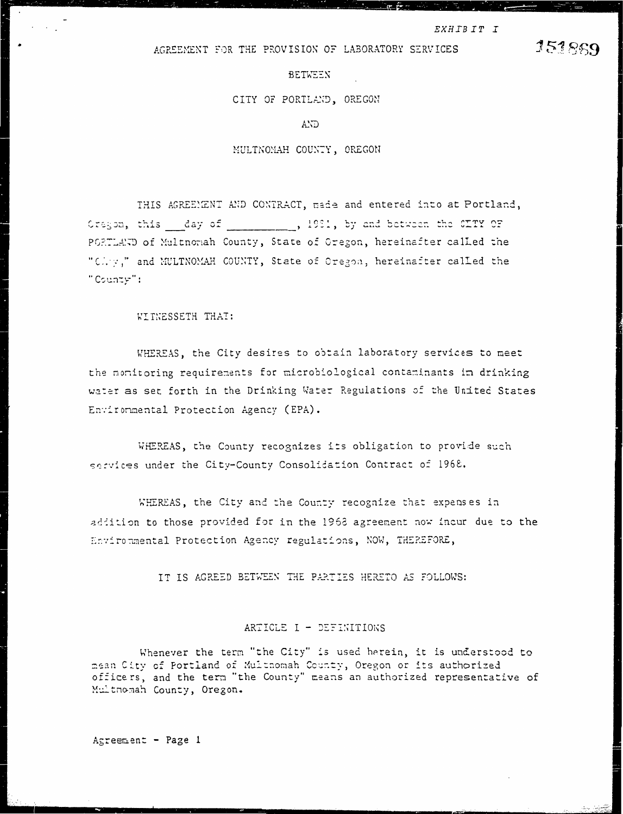# AGREEMENT FOR THE PROVISION OF LABORATORY SERVICES

**BETWEEN** 

CITY OF PORTLAND, OREGON

AND.

MULTNOMAH COUNTY, OREGON

THIS AGREEMENT AND CONTRACT, made and entered into at Portland, Cragon, this day of 5, 1981, by and between the CITY OF PORTLAND of Multnomah County, State of Oregon, hereinafter called the "Chry," and MULTNOMAH COUNTY, State of Oregon, hereinafter called the "County":

WITNESSETH THAT:

 $\gamma$  ,  $\gamma$  ,  $\gamma$ 

WHEREAS, the City desires to obtain laboratory services to meet the monitoring requirements for microbiological contaminants in drinking water as set forth in the Drinking Water Regulations of the United States Environmental Protection Agency (EPA).

WHEREAS, the County recognizes its obligation to provide such services under the City-County Consolidation Contract of 1968.

WHEREAS, the City and the County recognize that expenses in addition to those provided for in the 1968 agreement now incur due to the Environmental Protection Agency regulations, NOW, THEREFORE,

IT IS AGREED BETWEEN THE PARTIES HERETO AS FOLLOWS:

# ARTICLE I - DEFINITIONS

Whenever the term "the City" is used herein, it is understood to mean City of Portland of Multnomah County, Oregon or its authorized officers, and the term "the County" means an authorized representative of Multmomah County, Oregon.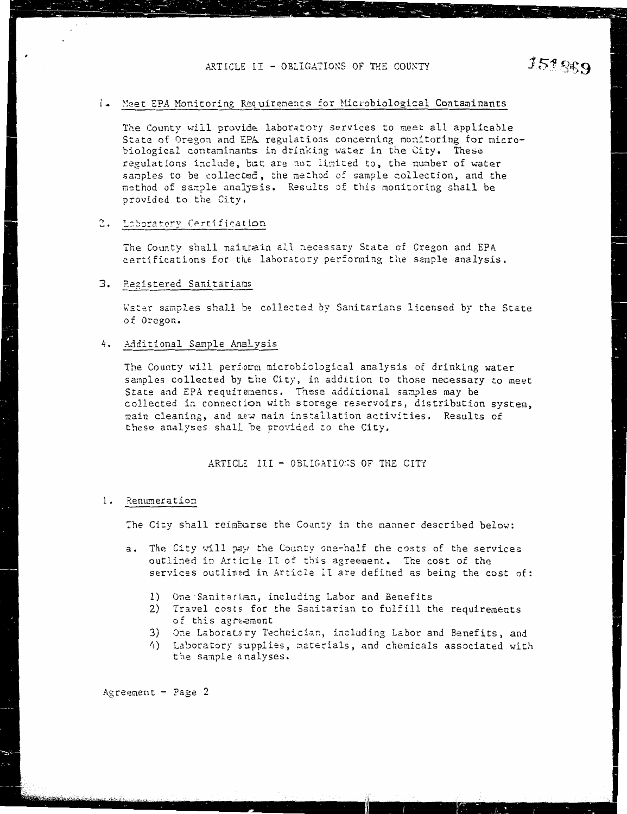# 1. Meet EPA Monitoring Requirements for Microbiological Contaminants

The County will provide laboratory services to meet all applicable State of Oregon and EPA regulations concerning monitoring for microbiological contaminants in drinking water in the City. These regulations include, but are not limited to, the number of water samples to be collected, the method of sample collection, and the method of sample analysis. Results of this monitoring shall be provided to the City,

# 2. Laboratory Certification

The County shall maintain all necessary State of Cregon and EPA certifications for the laboratory performing the sample analysis.

# 3. Registered Sanitarians

Water samples shall be collected by Sanitarians licensed by the State of Oregon.

## 4. Additional Sample Analysis

The County will perform microbiological analysis of drinking water samples collected by the City, in addition to those necessary to meet State and EPA requirements. These additional samples may be collected in connection with storage reservoirs, distribution system, main cleaning, and new main installation activities. Results of these analyses shall be provided to the City.

#### ARTICLE III - OBLIGATIONS OF THE CITY

#### 1. Renumeration

The City shall reimburse the County in the manner described below:

- a. The City will pay the County one-half the costs of the services outlined in Article II of this agreement. The cost of the services outlined in Article II are defined as being the cost of:
	- 1) One Sanitarian, including Labor and Benefits
	- 2) Travel costs for the Sanitarian to fulfill the requirements of this agreement
	- 3) One Laboratory Technician, including Labor and Benefits, and
	- 4) Laboratory supplies, materials, and chemicals associated with the sample analyses.

Agreement - Page 2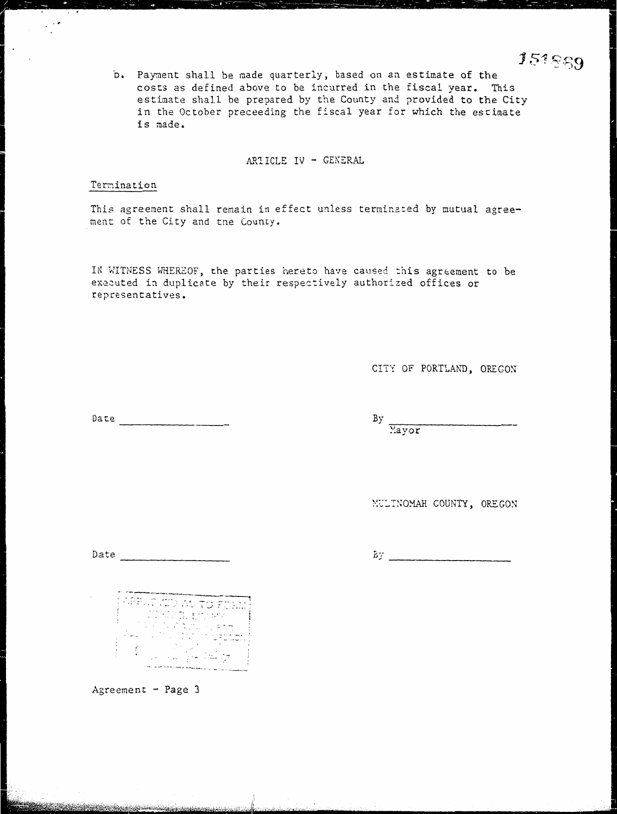b. Payment shall be made quarterly, based on an estimate of the costs as defined above to be incurred in the fiscal year. This estimate shall be prepared by the County and provided to the City in the October preceeding the fiscal year for which the estimate is made.

ARTICLE IV - GENERAL

# Termination

 $\mathcal{L}^{\text{int}}_{\text{int}}$ 

This agreement shall remain in effect unless terminated by mutual agreement of the City and the County.

IN WITNESS WHEREOF, the parties hereto have caused this agreement to be executed in duplicate by their respectively authorized offices or representatives.

CITY OF PORTLAND, OREGON

 $Date$ 

 $By$  Mayor

MULINOMAH COUNTY, OREGON

Date  $\qquad \qquad$   $\qquad$   $\qquad$   $\qquad$   $\qquad$   $\qquad$   $\qquad$   $\qquad$   $\qquad$   $\qquad$   $\qquad$   $\qquad$   $\qquad$   $\qquad$   $\qquad$   $\qquad$   $\qquad$   $\qquad$   $\qquad$   $\qquad$   $\qquad$   $\qquad$   $\qquad$   $\qquad$   $\qquad$   $\qquad$   $\qquad$   $\qquad$   $\qquad$   $\qquad$   $\qquad$   $\qquad$   $\qquad$   $\qquad$   $\qquad$   $\q$ 

 $By$ 

g.<br>Sy'n

a di Grecia del Greco.<br>Nati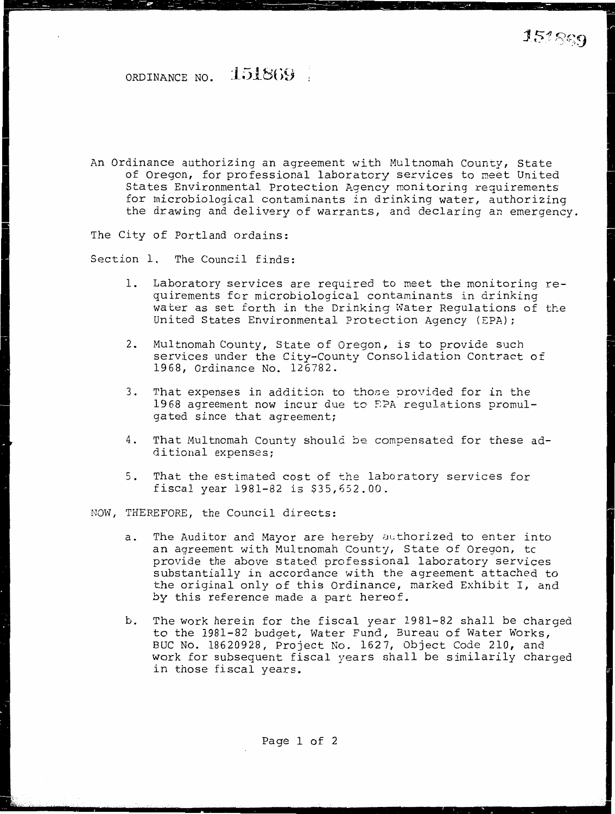ORDINANCE NO. 151869

An Ordinance authorizing an agreement with Multnomah County, State of Oregon, for professional laboratory services to meet United States Environmental Protection Agency monitoring requirements for microbiological contaminants in drinking water, authorizing the drawing and delivery of warrants, and declaring an emergency.

The City of Portland ordains:

Section 1. The Council finds:

- 1. Laboratory services are required to meet the monitoring requirements for microbiological contaminants in drinking water as set forth in the Drinking Water Regulations of the United States Environmental Protection Agency (EPA);
- 2. Multnomah County, State of Oregon, is to provide such services under the City-County Consolidation Contract of 1968, Ordinance No. 126782.
- 3. That expenses in addition to those provided for in the 1968 agreement now incur due to S?A regulations promulgated since that agreement;
- 4. That Multnomah County should be compensated for these additional expenses;
- 5. That the estimated cost of the laboratory services for fiscal year 1981-82 is \$35,652.00.

NOW, THEREFORE, the Council directs:

- a. The Auditor and Mayor are hereby atthorized to enter into an agreement with Multnomah County, State of Oregon, tc provide the above stated professional laboratory services substantially in accordance with the agreement attached to the original only of this Ordinance, marked Exhibit I, and by this reference made a part hereof.
- b. The work herein for the fiscal year 1981-82 shall be charged to the 1981-82 budget, Water Fund, Bureau of Water Works, BUC No. 18620928, Project No. 1627, Object Code 210, and work for subsequent fiscal years shall be similarily charged in those fiscal years.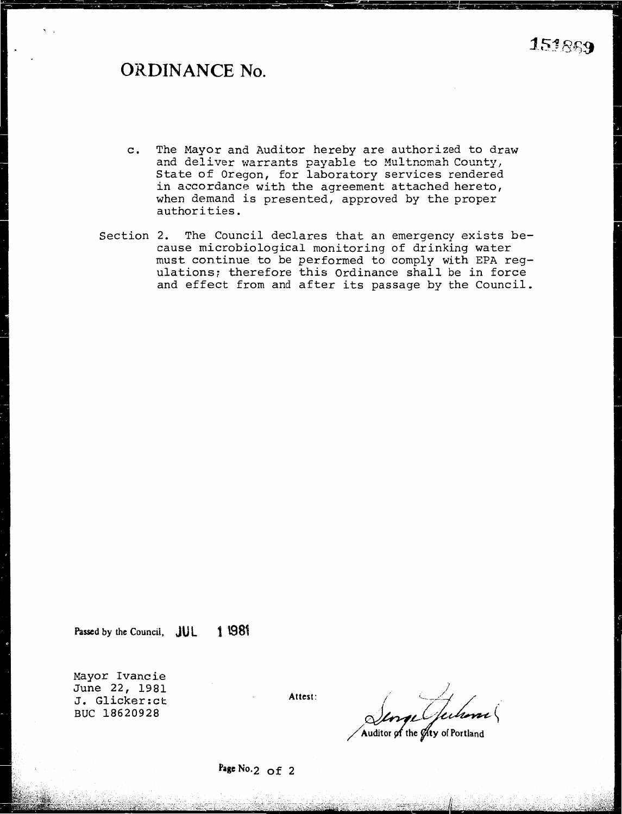# **ORDINANCE No.**

- c. The Mayor and Auditor hereby are authorized to draw and deliver warrants payable to Multnomah County, State of Oregon, for laboratory services rendered in accordance with the agreement attached hereto, when demand is presented, approved by the proper authorities.
- Section 2. The Council declares that an emergency exists because microbiological monitoring of drinking water must continue to be performed to comply with EPA regulations; therefore this Ordinance shall be in force and effect from and after its passage by the Council.

Passed by the Council, **JUL** 1 1981

Mayor Ivancie June 22, 1981 J. Glicker:ct BUC 18620928

Attest:

Serge Guharre

**Page** No.2 of <sup>2</sup>